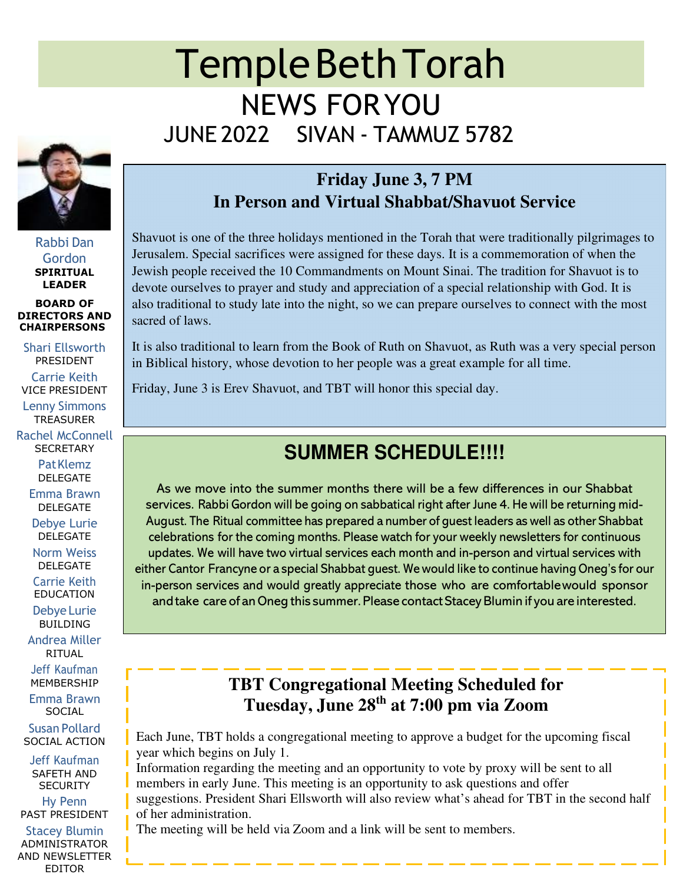# Temple Beth Torah NEWS FOR YOU JUNE 2022 SIVAN - TAMMUZ 5782



Rabbi Dan Gordon **SPIRITUAL LEADER** 

**BOARD OF DIRECTORS AND CHAIRPERSONS**

Shari Ellsworth PRESIDENT Carrie Keith VICE PRESIDENT Lenny Simmons

**TREASURER** Rachel McConnell **SECRETARY** 

> Pat Klemz DELEGATE

Emma Brawn DELEGATE

Debye Lurie DELEGATE

Norm Weiss DELEGATE

Carrie Keith EDUCATION

Debye Lurie BUILDING

Andrea Miller RITUAL

Jeff Kaufman MEMBERSHIP

Emma Brawn **SOCIAL** 

Susan Pollard SOCIAL ACTION

Jeff Kaufman SAFETH AND **SECURITY** 

Hy Penn PAST PRESIDENT

Stacey Blumin ADMINISTRATOR AND NEWSLETTER EDITOR

# **Friday June 3, 7 PM In Person and Virtual Shabbat/Shavuot Service**

Shavuot is one of the three holidays mentioned in the Torah that were traditionally pilgrimages to Jerusalem. Special sacrifices were assigned for these days. It is a commemoration of when the Jewish people received the 10 Commandments on Mount Sinai. The tradition for Shavuot is to devote ourselves to prayer and study and appreciation of a special relationship with God. It is also traditional to study late into the night, so we can prepare ourselves to connect with the most sacred of laws.

It is also traditional to learn from the Book of Ruth on Shavuot, as Ruth was a very special person in Biblical history, whose devotion to her people was a great example for all time.

Friday, June 3 is Erev Shavuot, and TBT will honor this special day.

# **SUMMER SCHEDULE!!!!**

As we move into the summer months there will be a few differences in our Shabbat services. Rabbi Gordon will be going on sabbatical right after June 4. He will be returning mid-August. The Ritual committee has prepared a number of guest leaders as well as other Shabbat celebrations for the coming months. Please watch for your weekly newsletters for continuous updates. We will have two virtual services each month and in-person and virtual services with either Cantor Francyne or a special Shabbat guest. We would like to continue having Oneg's for our in-person services and would greatly appreciate those who are comfortable would sponsor and take care of an Oneg this summer. Please contact Stacey Blumin if you are interested.

# **TBT Congregational Meeting Scheduled for Tuesday, June 28th at 7:00 pm via Zoom**

Each June, TBT holds a congregational meeting to approve a budget for the upcoming fiscal year which begins on July 1.

Information regarding the meeting and an opportunity to vote by proxy will be sent to all members in early June. This meeting is an opportunity to ask questions and offer suggestions. President Shari Ellsworth will also review what's ahead for TBT in the second half of her administration.

The meeting will be held via Zoom and a link will be sent to members.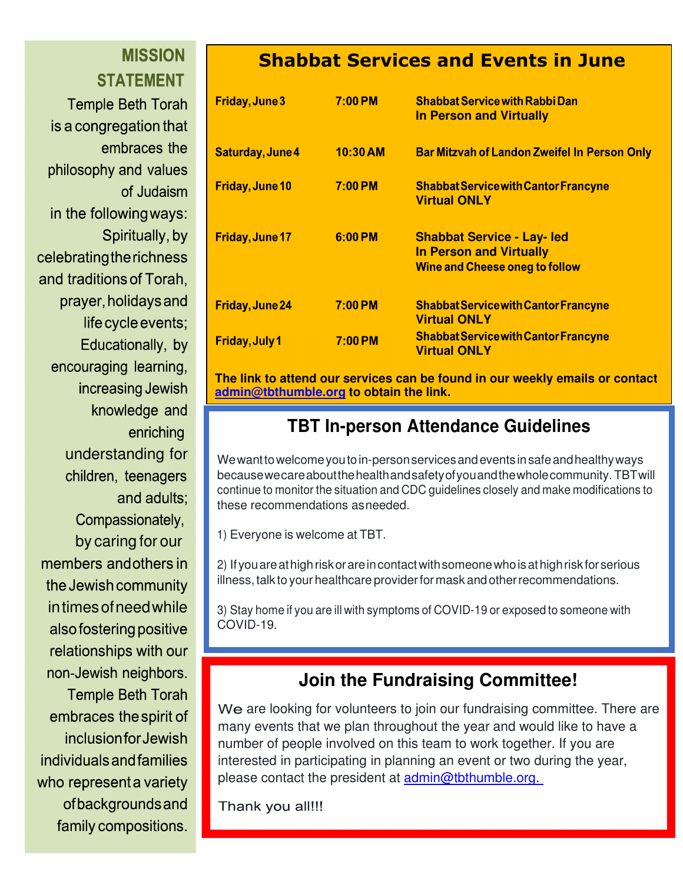# **MISSION STATEMENT**

**Temple Beth Torah** is a congregation that embraces the philosophy and values of Judaism in the following ways: Spiritually, by celebrating the richness and traditions of Torah. prayer, holidays and life cycle events; Educationally, by encouraging learning, increasing Jewish knowledge and enriching understanding for children, teenagers and adults: Compassionately, by caring for our members and others in the Jewish community in times of need while also fostering positive relationships with our non-Jewish neighbors. **Temple Beth Torah** embraces the spirit of *inclusionfor Jewish* individuals and families who represent a variety ofbackgrounds and family compositions.

# **Shabbat Services and Events in June**

| <b>Friday, June 3</b>   | 7:00 PM    | <b>Shabbat Service with Rabbi Dan</b><br><b>In Person and Virtually</b>                                      |
|-------------------------|------------|--------------------------------------------------------------------------------------------------------------|
| <b>Saturday, June 4</b> | $10:30$ AM | <b>Bar Mitzvah of Landon Zweifel In Person Only</b>                                                          |
| <b>Friday, June 10</b>  | 7:00 PM    | <b>Shabbat Service with Cantor Francyne</b><br><b>Virtual ONLY</b>                                           |
| Friday, June 17         | 6:00 PM    | <b>Shabbat Service - Lay- led</b><br><b>In Person and Virtually</b><br><b>Wine and Cheese oneg to follow</b> |
| <b>Friday, June 24</b>  | $7:00$ PM  | <b>Shabbat Service with Cantor Francyne</b><br><b>Virtual ONLY</b>                                           |
| <b>Friday, July 1</b>   | 7:00 PM    | <b>Shabbat Service with Cantor Francyne</b><br><b>Virtual ONLY</b>                                           |

**The link to attend our services can be found in our weekly emails or contact admin@tbthumble.org to obtain the link.**

# **TBT In-person Attendance Guidelines**

We want to welcome you to in-person services and events in safe and healthy ways because we care about the health and safety of you and the whole community. TBT will continue to monitor the situation and CDC guidelines closely and make modifications to these recommendations as needed.

1) Everyone is welcome at TBT.

2) If you are at high risk or are in contact with someone who is at high risk for serious illness, talk to your healthcare provider for mask and other recommendations.

3) Stay home if you are ill with symptoms of COVID-19 or exposed to someone with COVID-19.

# **Join the Fundraising Committee!**

We are looking for volunteers to join our fundraising committee. There are many events that we plan throughout the year and would like to have a number of people involved on this team to work together. If you are interested in participating in planning an event or two during the year, please contact the president at admin@tbthumble.org.

Thank you all!!!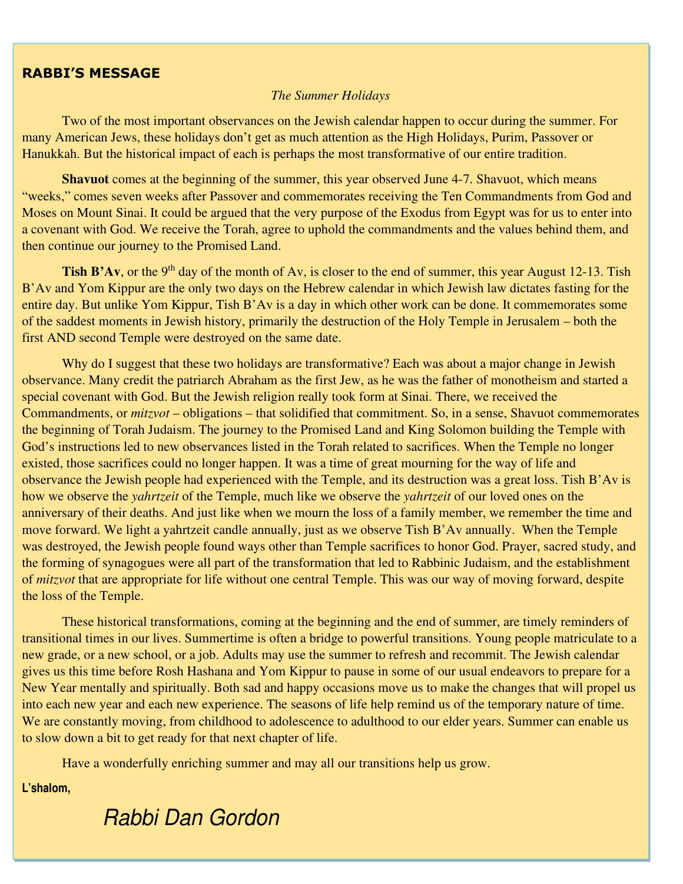#### **RABBI'S MESSAGE**

#### *The Summer Holidays*

Two of the most important observances on the Jewish calendar happen to occur during the summer. For many American Jews, these holidays don't get as much attention as the High Holidays, Purim, Passover or Hanukkah. But the historical impact of each is perhaps the most transformative of our entire tradition.

**Shavuot** comes at the beginning of the summer, this year observed June 4-7. Shavuot, which means "weeks," comes seven weeks after Passover and commemorates receiving the Ten Commandments from God and Moses on Mount Sinai. It could be argued that the very purpose of the Exodus from Egypt was for us to enter into a covenant with God. We receive the Torah, agree to uphold the commandments and the values behind them, and then continue our journey to the Promised Land.

**Tish B'Av**, or the 9<sup>th</sup> day of the month of Av, is closer to the end of summer, this year August 12-13. Tish B'Av and Yom Kippur are the only two days on the Hebrew calendar in which Jewish law dictates fasting for the entire day. But unlike Yom Kippur, Tish B'Av is a day in which other work can be done. It commemorates some of the saddest moments in Jewish history, primarily the destruction of the Holy Temple in Jerusalem – both the first AND second Temple were destroyed on the same date.

Why do I suggest that these two holidays are transformative? Each was about a major change in Jewish observance. Many credit the patriarch Abraham as the first Jew, as he was the father of monotheism and started a special covenant with God. But the Jewish religion really took form at Sinai. There, we received the Commandments, or *mitzvot* – obligations – that solidified that commitment. So, in a sense, Shavuot commemorates the beginning of Torah Judaism. The journey to the Promised Land and King Solomon building the Temple with God's instructions led to new observances listed in the Torah related to sacrifices. When the Temple no longer existed, those sacrifices could no longer happen. It was a time of great mourning for the way of life and observance the Jewish people had experienced with the Temple, and its destruction was a great loss. Tish B'Av is how we observe the *yahrtzeit* of the Temple, much like we observe the *yahrtzeit* of our loved ones on the anniversary of their deaths. And just like when we mourn the loss of a family member, we remember the time and move forward. We light a yahrtzeit candle annually, just as we observe Tish B'Av annually. When the Temple was destroyed, the Jewish people found ways other than Temple sacrifices to honor God. Prayer, sacred study, and the forming of synagogues were all part of the transformation that led to Rabbinic Judaism, and the establishment of *mitzvot* that are appropriate for life without one central Temple. This was our way of moving forward, despite the loss of the Temple.

These historical transformations, coming at the beginning and the end of summer, are timely reminders of transitional times in our lives. Summertime is often a bridge to powerful transitions. Young people matriculate to a new grade, or a new school, or a job. Adults may use the summer to refresh and recommit. The Jewish calendar gives us this time before Rosh Hashana and Yom Kippur to pause in some of our usual endeavors to prepare for a New Year mentally and spiritually. Both sad and happy occasions move us to make the changes that will propel us into each new year and each new experience. The seasons of life help remind us of the temporary nature of time. We are constantly moving, from childhood to adolescence to adulthood to our elder years. Summer can enable us to slow down a bit to get ready for that next chapter of life.

Have a wonderfully enriching summer and may all our transitions help us grow.

**L'shalom,**

# *Rabbi Dan Gordon*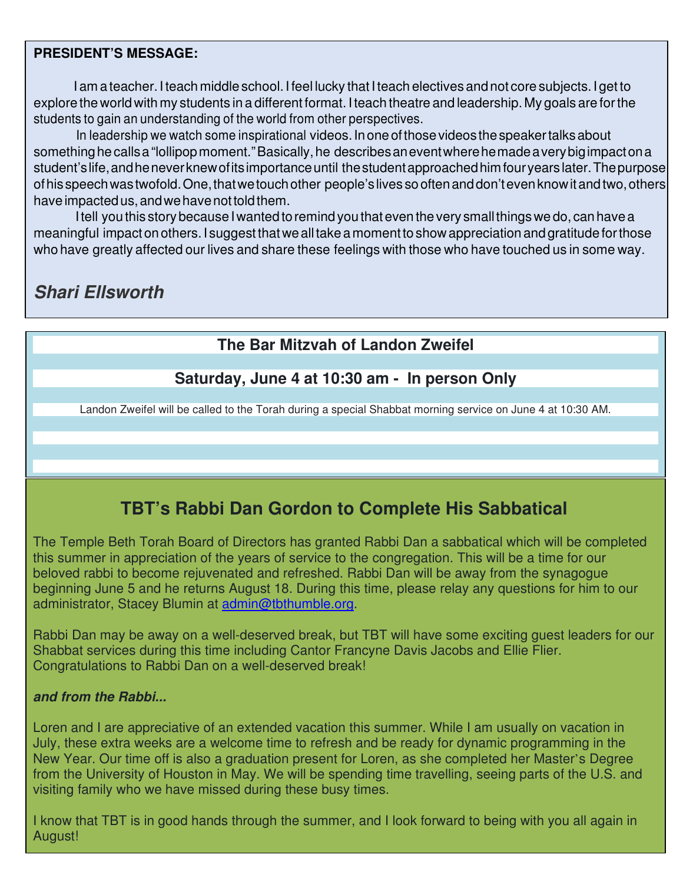### **PRESIDENT'S MESSAGE:**

I am a teacher. I teach middle school. I feel lucky that I teach electives and not core subjects. I get to explore the world with my students in a different format. I teach theatre and leadership. My goals are for the students to gain an understanding of the world from other perspectives.

 In leadership we watch some inspirational videos. In one of those videos the speaker talks about something he calls a "lollipop moment." Basically, he describes an event where he made a very big impact on a student's life, and he never knew of its importance until the student approached him four years later. The purpose of his speech was twofold. One, that we touch other people's lives so often and don't even know it and two, others have impacted us, and we have not told them.

 I tell you this story because I wanted to remind you that even the very small things we do, can have a meaningful impact on others. I suggest that we all take a moment to show appreciation and gratitude for those who have greatly affected our lives and share these feelings with those who have touched us in some way.

# **Shari Ellsworth**

# **The Bar Mitzvah of Landon Zweifel**

### **Saturday, June 4 at 10:30 am - In person Only**

Landon Zweifel will be called to the Torah during a special Shabbat morning service on June 4 at 10:30 AM.

# **TBT's Rabbi Dan Gordon to Complete His Sabbatical**

The Temple Beth Torah Board of Directors has granted Rabbi Dan a sabbatical which will be completed this summer in appreciation of the years of service to the congregation. This will be a time for our beloved rabbi to become rejuvenated and refreshed. Rabbi Dan will be away from the synagogue beginning June 5 and he returns August 18. During this time, please relay any questions for him to our administrator, Stacey Blumin at admin@tbthumble.org.

Rabbi Dan may be away on a well-deserved break, but TBT will have some exciting guest leaders for our Shabbat services during this time including Cantor Francyne Davis Jacobs and Ellie Flier. Congratulations to Rabbi Dan on a well-deserved break!

### **and from the Rabbi...**

Loren and I are appreciative of an extended vacation this summer. While I am usually on vacation in July, these extra weeks are a welcome time to refresh and be ready for dynamic programming in the New Year. Our time off is also a graduation present for Loren, as she completed her Master's Degree from the University of Houston in May. We will be spending time travelling, seeing parts of the U.S. and visiting family who we have missed during these busy times.

I know that TBT is in good hands through the summer, and I look forward to being with you all again in August!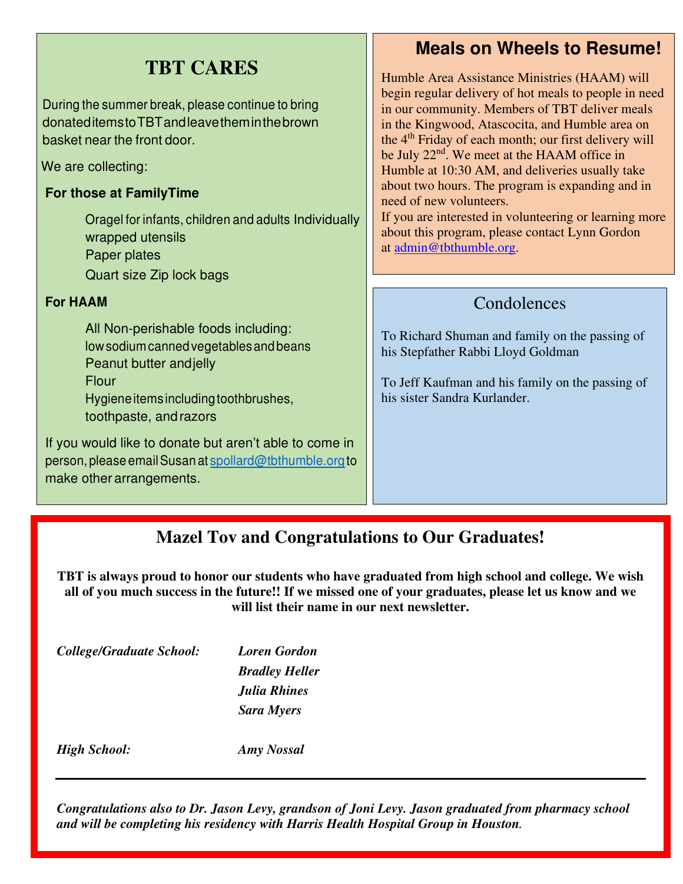| <b>TBT CARES</b><br>During the summer break, please continue to bring<br>donateditemstoTBTandleavetheminthebrown<br>basket near the front door.<br>We are collecting:<br>For those at FamilyTime<br>Oragel for infants, children and adults Individually<br>wrapped utensils<br>Paper plates<br>Quart size Zip lock bags                                 | <b>Meals on Wheels to Resume!</b><br>Humble Area Assistance Ministries (HAAM) will<br>begin regular delivery of hot meals to people in need<br>in our community. Members of TBT deliver meals<br>in the Kingwood, Atascocita, and Humble area on<br>the 4 <sup>th</sup> Friday of each month; our first delivery will<br>be July 22 <sup>nd</sup> . We meet at the HAAM office in<br>Humble at 10:30 AM, and deliveries usually take<br>about two hours. The program is expanding and in<br>need of new volunteers.<br>If you are interested in volunteering or learning more<br>about this program, please contact Lynn Gordon<br>at admin@tbthumble.org. |
|----------------------------------------------------------------------------------------------------------------------------------------------------------------------------------------------------------------------------------------------------------------------------------------------------------------------------------------------------------|------------------------------------------------------------------------------------------------------------------------------------------------------------------------------------------------------------------------------------------------------------------------------------------------------------------------------------------------------------------------------------------------------------------------------------------------------------------------------------------------------------------------------------------------------------------------------------------------------------------------------------------------------------|
| <b>For HAAM</b><br>All Non-perishable foods including:<br>low sodium canned vegetables and beans<br>Peanut butter and jelly<br>Flour<br>Hygiene items including toothbrushes,<br>toothpaste, and razors<br>If you would like to donate but aren't able to come in<br>person, please email Susan at spollard@tbthumble.org to<br>make other arrangements. | Condolences<br>To Richard Shuman and family on the passing of<br>his Stepfather Rabbi Lloyd Goldman<br>To Jeff Kaufman and his family on the passing of<br>his sister Sandra Kurlander.                                                                                                                                                                                                                                                                                                                                                                                                                                                                    |

# **Mazel Tov and Congratulations to Our Graduates!**

**TBT is always proud to honor our students who have graduated from high school and college. We wish all of you much success in the future!! If we missed one of your graduates, please let us know and we will list their name in our next newsletter.** 

*College/Graduate School: Loren Gordon* 

*Bradley Heller Julia Rhines Sara Myers* 

*High School: Amy Nossal* 

*Congratulations also to Dr. Jason Levy, grandson of Joni Levy. Jason graduated from pharmacy school and will be completing his residency with Harris Health Hospital Group in Houston.*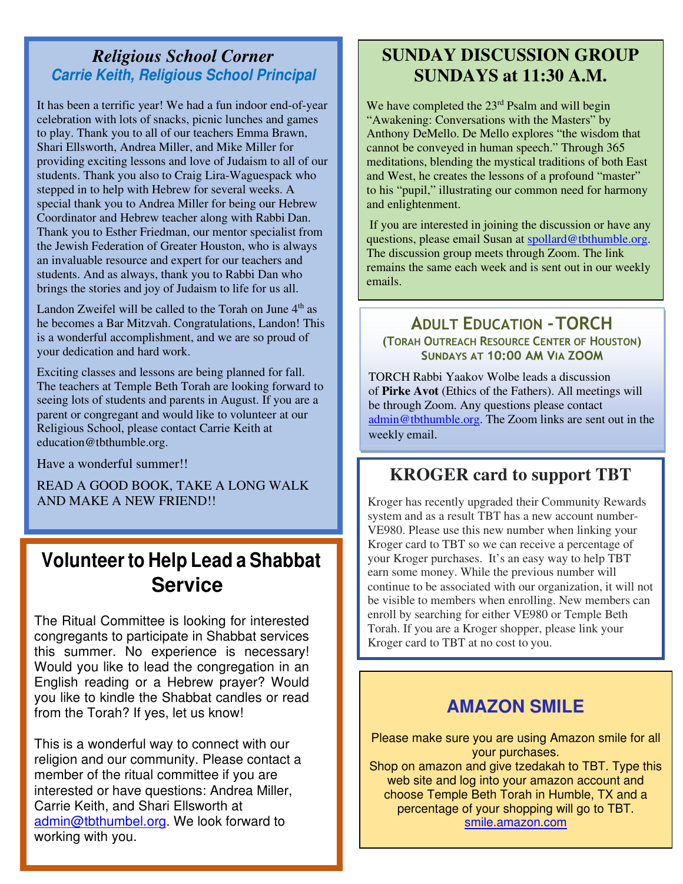### *Religious School Corner*  **Carrie Keith, Religious School Principal**

It has been a terrific year! We had a fun indoor end-of-year celebration with lots of snacks, picnic lunches and games to play. Thank you to all of our teachers Emma Brawn, Shari Ellsworth, Andrea Miller, and Mike Miller for providing exciting lessons and love of Judaism to all of our students. Thank you also to Craig Lira-Waguespack who stepped in to help with Hebrew for several weeks. A special thank you to Andrea Miller for being our Hebrew Coordinator and Hebrew teacher along with Rabbi Dan. Thank you to Esther Friedman, our mentor specialist from the Jewish Federation of Greater Houston, who is always an invaluable resource and expert for our teachers and students. And as always, thank you to Rabbi Dan who brings the stories and joy of Judaism to life for us all.

Landon Zweifel will be called to the Torah on June 4<sup>th</sup> as he becomes a Bar Mitzvah. Congratulations, Landon! This is a wonderful accomplishment, and we are so proud of your dedication and hard work.

Exciting classes and lessons are being planned for fall. The teachers at Temple Beth Torah are looking forward to seeing lots of students and parents in August. If you are a parent or congregant and would like to volunteer at our Religious School, please contact Carrie Keith at education@tbthumble.org.

Have a wonderful summer!!

READ A GOOD BOOK, TAKE A LONG WALK AND MAKE A NEW FRIEND!!

# **Volunteer to Help Lead a Shabbat Service**

The Ritual Committee is looking for interested congregants to participate in Shabbat services this summer. No experience is necessary! Would you like to lead the congregation in an English reading or a Hebrew prayer? Would you like to kindle the Shabbat candles or read from the Torah? If yes, let us know!

This is a wonderful way to connect with our religion and our community. Please contact a member of the ritual committee if you are interested or have questions: Andrea Miller, Carrie Keith, and Shari Ellsworth at admin@tbthumbel.org. We look forward to working with you.

## **SUNDAY DISCUSSION GROUP SUNDAYS at 11:30 A.M.**

We have completed the 23<sup>rd</sup> Psalm and will begin "Awakening: Conversations with the Masters" by Anthony DeMello. De Mello explores "the wisdom that cannot be conveyed in human speech." Through 365 meditations, blending the mystical traditions of both East and West, he creates the lessons of a profound "master" to his "pupil," illustrating our common need for harmony and enlightenment.

If you are interested in joining the discussion or have any questions, please email Susan at spollard@tbthumble.org. The discussion group meets through Zoom. The link remains the same each week and is sent out in our weekly emails.

### **ADULT EDUCATION - TORCH (TORAH OUTREACH RESOURCE CENTER OF HOUSTON)**  SUNDAYS AT 10:00 AM VIA ZOOM

TORCH Rabbi Yaakov Wolbe leads a discussion of **Pirke Avot** (Ethics of the Fathers). All meetings will be through Zoom. Any questions please contact admin@tbthumble.org. The Zoom links are sent out in the weekly email.

# **KROGER card to support TBT**

Kroger has recently upgraded their Community Rewards system and as a result TBT has a new account number-VE980. Please use this new number when linking your Kroger card to TBT so we can receive a percentage of your Kroger purchases. It's an easy way to help TBT earn some money. While the previous number will continue to be associated with our organization, it will not be visible to members when enrolling. New members can enroll by searching for either VE980 or Temple Beth Torah. If you are a Kroger shopper, please link your Kroger card to TBT at no cost to you.

# **AMAZON SMILE**

Please make sure you are using Amazon smile for all your purchases. Shop on amazon and give tzedakah to TBT. Type this web site and log into your amazon account and choose Temple Beth Torah in Humble, TX and a percentage of your shopping will go to TBT. smile.amazon.com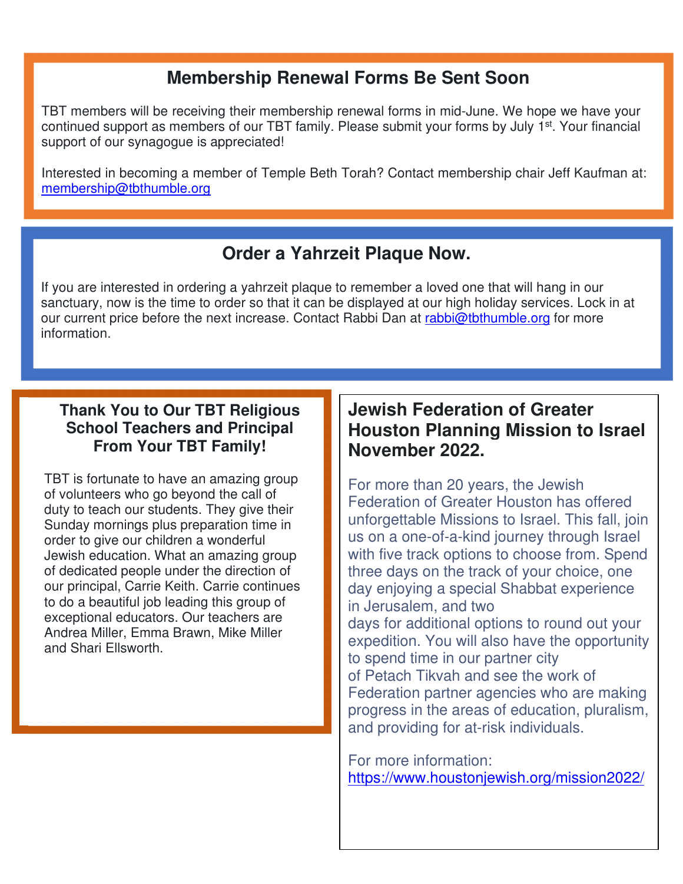# **Membership Renewal Forms Be Sent Soon**

TBT members will be receiving their membership renewal forms in mid-June. We hope we have your continued support as members of our TBT family. Please submit your forms by July 1<sup>st</sup>. Your financial support of our synagogue is appreciated!

Interested in becoming a member of Temple Beth Torah? Contact membership chair Jeff Kaufman at: membership@tbthumble.org

# **Order a Yahrzeit Plaque Now.**

If you are interested in ordering a yahrzeit plaque to remember a loved one that will hang in our sanctuary, now is the time to order so that it can be displayed at our high holiday services. Lock in at our current price before the next increase. Contact Rabbi Dan at rabbi@tbthumble.org for more information.

### **Thank You to Our TBT Religious School Teachers and Principal From Your TBT Family!**

TBT is fortunate to have an amazing group of volunteers who go beyond the call of duty to teach our students. They give their Sunday mornings plus preparation time in order to give our children a wonderful Jewish education. What an amazing group of dedicated people under the direction of our principal, Carrie Keith. Carrie continues to do a beautiful job leading this group of exceptional educators. Our teachers are Andrea Miller, Emma Brawn, Mike Miller and Shari Ellsworth.

# **Jewish Federation of Greater Houston Planning Mission to Israel November 2022.**

For more than 20 years, the Jewish Federation of Greater Houston has offered unforgettable Missions to Israel. This fall, join us on a one-of-a-kind journey through Israel with five track options to choose from. Spend three days on the track of your choice, one day enjoying a special Shabbat experience in Jerusalem, and two days for additional options to round out your expedition. You will also have the opportunity to spend time in our partner city of Petach Tikvah and see the work of Federation partner agencies who are making progress in the areas of education, pluralism, and providing for at-risk individuals.

For more information: https://www.houstonjewish.org/mission2022/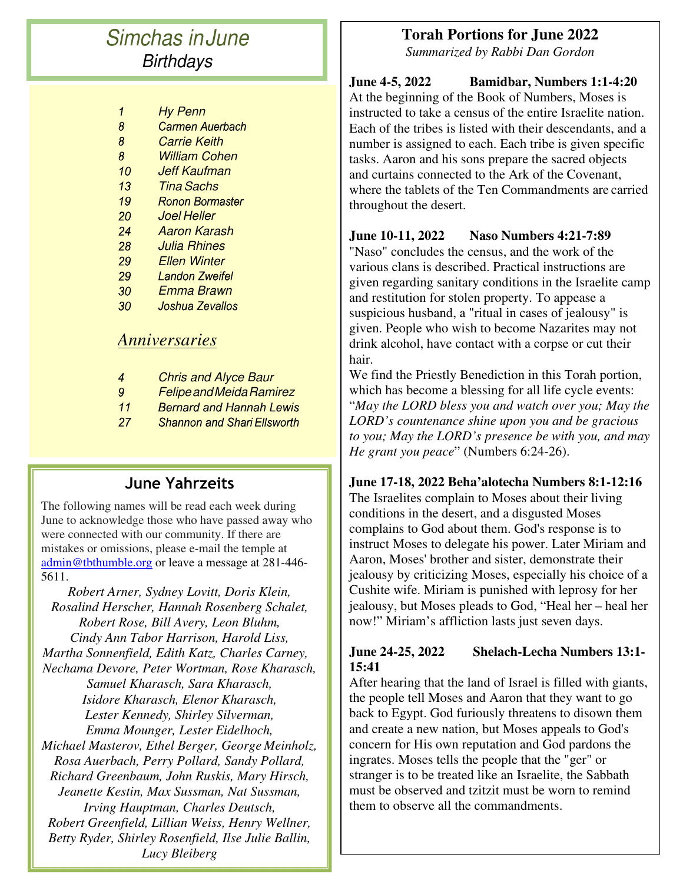# *Simchas in June Birthdays*

- *Hy Penn*  $\boldsymbol{\theta}$
- $\overline{8}$ **Carmen Auerbach**
- $\overline{8}$ *Carrie Keith*
- $8<sup>°</sup>$ *William Cohen*
- $10<sup>°</sup>$ *Jeff Kaufman*
- $13<sup>°</sup>$ *Tina Sachs*
- 19 **Ronon Bormaster**
- 20 *Joel Heller*
- $24$ *Aaron Karash*
- 28 *Julia Rhines*
- 29 *Ellen Winter*
- 29 **Landon Zweifel**
- $30<sup>°</sup>$ *Emma Brawn*
- $30<sup>°</sup>$ Joshua Zevallos

### *Anniversaries*

- $\overline{4}$ *Chris and Alyce Baur*
- $9<sup>°</sup>$ *Felipe and Meida Ramirez*
- $11$ **Bernard and Hannah Lewis**
- **Shannon and Shari Ellsworth**  $27$

### **June Yahrzeits**

The following names will be read each week during June to acknowledge those who have passed away who were connected with our community. If there are mistakes or omissions, please e-mail the temple at admin@tbthumble.org or leave a message at 281-446-5611.

*Robert Arner, Sydney Lovitt, Doris Klein, Rosalind Herscher, Hannah Rosenberg Schalet, Robert Rose, Bill Avery, Leon Bluhm, Cindy Ann Tabor Harrison, Harold Liss, Martha Sonnenfield, Edith Katz, Charles Carney, Nechama Devore, Peter Wortman, Rose Kharasch, Samuel Kharasch, Sara Kharasch, Isidore Kharasch, Elenor Kharasch, Lester Kennedy, Shirley Silverman, Emma Mounger, Lester Eidelhoch, Michael Masterov, Ethel Berger, George Meinholz, Rosa Auerbach, Perry Pollard, Sandy Pollard, Richard Greenbaum, John Ruskis, Mary Hirsch, Jeanette Kestin, Max Sussman, Nat Sussman, Irving Hauptman, Charles Deutsch, Robert Greenfield, Lillian Weiss, Henry Wellner, Betty Ryder, Shirley Rosenfield, Ilse Julie Ballin, Lucy Bleiberg* 

### **Torah Portions for June 2022**

*Summarized by Rabbi Dan Gordon* 

#### **June 4-5, 2022 Bamidbar, Numbers 1:1-4:20**  At the beginning of the Book of Numbers, Moses is instructed to take a census of the entire Israelite nation. Each of the tribes is listed with their descendants, and a number is assigned to each. Each tribe is given specific tasks. Aaron and his sons prepare the sacred objects and curtains connected to the Ark of the Covenant, where the tablets of the Ten Commandments are carried throughout the desert.

### **June 10-11, 2022 Naso Numbers 4:21-7:89**

"Naso" concludes the census, and the work of the various clans is described. Practical instructions are given regarding sanitary conditions in the Israelite camp and restitution for stolen property. To appease a suspicious husband, a "ritual in cases of jealousy" is given. People who wish to become Nazarites may not drink alcohol, have contact with a corpse or cut their hair.

We find the Priestly Benediction in this Torah portion, which has become a blessing for all life cycle events: "*May the LORD bless you and watch over you; May the LORD's countenance shine upon you and be gracious to you; May the LORD's presence be with you, and may He grant you peace*" (Numbers 6:24-26).

### **June 17-18, 2022 Beha'alotecha Numbers 8:1-12:16**

The Israelites complain to Moses about their living conditions in the desert, and a disgusted Moses complains to God about them. God's response is to instruct Moses to delegate his power. Later Miriam and Aaron, Moses' brother and sister, demonstrate their jealousy by criticizing Moses, especially his choice of a Cushite wife. Miriam is punished with leprosy for her jealousy, but Moses pleads to God, "Heal her – heal her now!" Miriam's affliction lasts just seven days.

### **June 24-25, 2022 Shelach-Lecha Numbers 13:1- 15:41**

After hearing that the land of Israel is filled with giants, the people tell Moses and Aaron that they want to go back to Egypt. God furiously threatens to disown them and create a new nation, but Moses appeals to God's concern for His own reputation and God pardons the ingrates. Moses tells the people that the "ger" or stranger is to be treated like an Israelite, the Sabbath must be observed and tzitzit must be worn to remind them to observe all the commandments.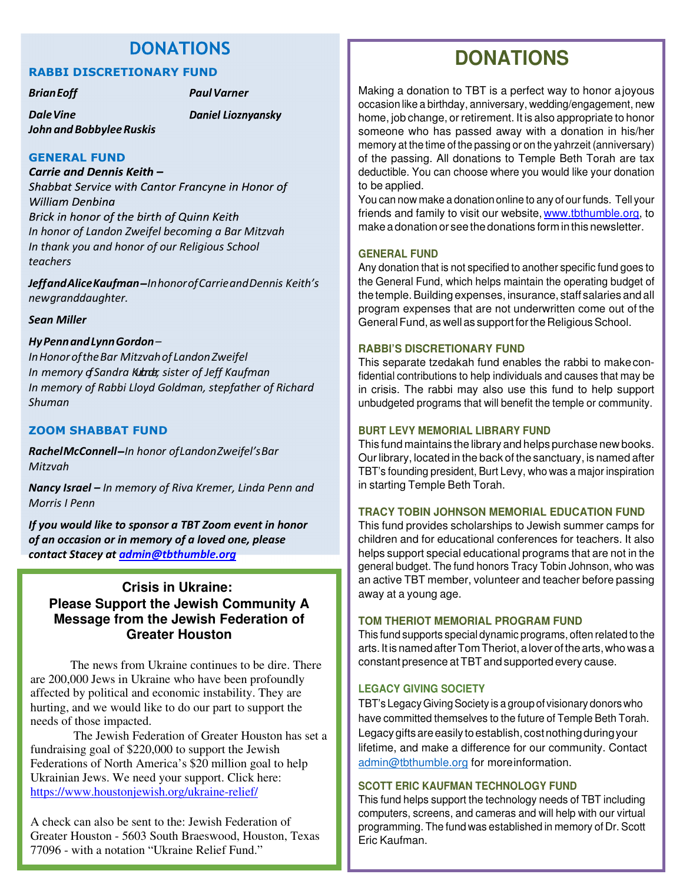### **DONATIONS**

#### **RABBI DISCRETIONARY FUND**

*Brian Eoff Paul Varner* 

*Dale Vine John and Bobbylee Ruskis*  **Daniel Lioznyansky** 

#### **GENERAL FUND**

Carrie and Dennis Keith -Shabbat Service with Cantor Francyne in Honor of **William Denbina** Brick in honor of the birth of Quinn Keith *In honor of Landon Zweifel becoming a Bar Mitzvah In thank you and honor of our Religious School* 

*teachers*

*Jeff and Alice Kaufman In honor of Carrie and Dennis Keith's new granddaughter.* 

#### *Sean Miller*

#### *Hy Penn and Lynn Gordon –*

*In Honor of the Bar Mitzvah of Landon Zweifel In memory of Sandra Kubra, sister of Jeff Kaufman In memory of Rabbi Lloyd Goldman, stepfather of Richard Shuman* 

#### **ZOOM SHABBAT FUND**

*Rachel McConnell In honor of Landon Zweifel's Bar Mitzvah* 

*Nancy Israel – In memory of Riva Kremer, Linda Penn and Morris I Penn* 

*If you would like to sponsor a TBT Zoom event in honor of an occasion or in memory of a loved one, please contact Stacey at admin@tbthumble.org*

### **Crisis in Ukraine: Please Support the Jewish Community A Message from the Jewish Federation of Greater Houston**

The news from Ukraine continues to be dire. There are 200,000 Jews in Ukraine who have been profoundly affected by political and economic instability. They are hurting, and we would like to do our part to support the needs of those impacted.

The Jewish Federation of Greater Houston has set a fundraising goal of \$220,000 to support the Jewish Federations of North America's \$20 million goal to help Ukrainian Jews. We need your support. Click here: https://www.houstonjewish.org/ukraine-relief/

A check can also be sent to the: Jewish Federation of Greater Houston - 5603 South Braeswood, Houston, Texas 77096 - with a notation "Ukraine Relief Fund."

# **DONATIONS**

Making a donation to TBT is a perfect way to honor a joyous occasion like a birthday, anniversary, wedding/engagement, new home, job change, or retirement. It is also appropriate to honor someone who has passed away with a donation in his/her memory at the time of the passing or on the yahrzeit (anniversary) of the passing. All donations to Temple Beth Torah are tax deductible. You can choose where you would like your donation to be applied.

You can now make a donation online to any of our funds. Tell your friends and family to visit our website, www.tbthumble.org, to make a donation or see the donations form in this newsletter.

#### **GENERAL FUND**

Any donation that is not specified to another specific fund goes to the General Fund, which helps maintain the operating budget of the temple. Building expenses, insurance, staff salaries and all program expenses that are not underwritten come out of the General Fund, as well as support for the Religious School.

#### **RABBI'S DISCRETIONARY FUND**

This separate tzedakah fund enables the rabbi to make confidential contributions to help individuals and causes that may be in crisis. The rabbi may also use this fund to help support unbudgeted programs that will benefit the temple or community.

#### **BURT LEVY MEMORIAL LIBRARY FUND**

This fund maintains the library and helps purchase new books. Our library, located in the back of the sanctuary, is named after TBT's founding president, Burt Levy, who was a major inspiration in starting Temple Beth Torah.

#### **TRACY TOBIN JOHNSON MEMORIAL EDUCATION FUND**

This fund provides scholarships to Jewish summer camps for children and for educational conferences for teachers. It also helps support special educational programs that are not in the general budget. The fund honors Tracy Tobin Johnson, who was an active TBT member, volunteer and teacher before passing away at a young age.

#### **TOM THERIOT MEMORIAL PROGRAM FUND**

This fund supports special dynamic programs, often related to the arts. It is named after Tom Theriot, a lover of the arts, who was a constant presence at TBT and supported every cause.

#### **LEGACY GIVING SOCIETY**

TBT's Legacy Giving Society is a group of visionary donors who have committed themselves to the future of Temple Beth Torah. Legacy gifts are easily to establish, cost nothing during your lifetime, and make a difference for our community. Contact admin@tbthumble.org for more information.

#### **SCOTT ERIC KAUFMAN TECHNOLOGY FUND**

This fund helps support the technology needs of TBT including computers, screens, and cameras and will help with our virtual programming. The fund was established in memory of Dr. Scott Eric Kaufman.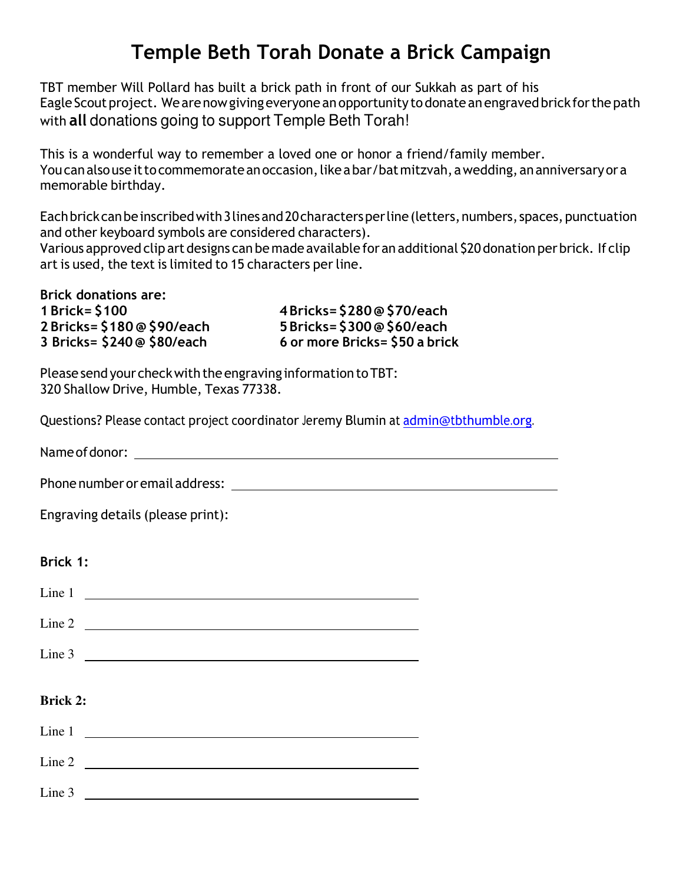# **Temple Beth Torah Donate a Brick Campaign**

TBT member Will Pollard has built a brick path in front of our Sukkah as part of his Eagle Scout project. We are now giving everyone an opportunity to donate an engraved brick for the path with **all** donations going to support Temple Beth Torah!

This is a wonderful way to remember a loved one or honor a friend/family member. You can also use it to commemorate an occasion, like a bar/bat mitzvah, a wedding, an anniversary or a memorable birthday.

Each brick can be inscribed with 3 lines and 20 characters per line (letters, numbers, spaces, punctuation and other keyboard symbols are considered characters).

Various approved clip art designs can be made available for an additional \$20 donation per brick. If clip art is used, the text is limited to 15 characters per line.

**1 Brick= \$100 4 Bricks= \$280 @ \$70/each 2 Bricks= \$180 @ \$90/each 5 Bricks= \$300 @ \$60/each 3 Bricks= \$240 @ \$80/each 6 or more Bricks= \$50 a brick** 

Please send your check with the engraving information to TBT: 320 Shallow Drive, Humble, Texas 77338.

Questions? Please contact project coordinator Jeremy Blumin at admin@tbthumble.org.

Name of donor:

Phone number or email address:

Engraving details (please print):

### **Brick 1:**

|                 | Line 1 $\qquad$                    |
|-----------------|------------------------------------|
|                 |                                    |
|                 | Line 3                             |
|                 |                                    |
|                 |                                    |
| <b>Brick 2:</b> |                                    |
|                 |                                    |
|                 |                                    |
|                 | Line 3 $\overline{\qquad \qquad }$ |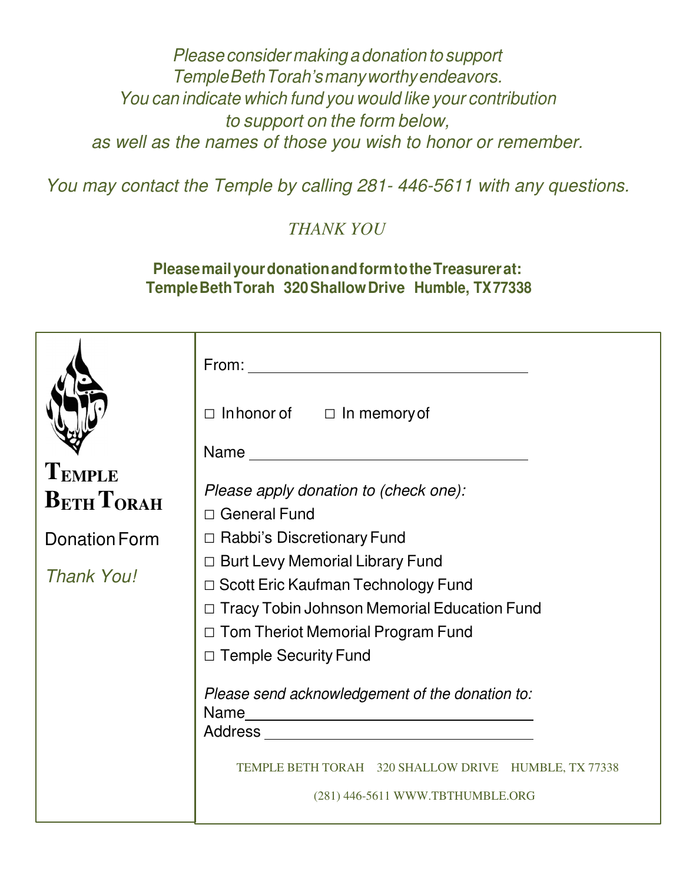*Please consider making a donation to support Temple Beth Torah's many worthy endeavors. You can indicate which fund you would like your contribution to support on the form below, as well as the names of those you wish to honor or remember.*

*You may contact the Temple by calling 281- 446-5611 with any questions.*

*THANK YOU*

### **Please mail your donation and form to the Treasurer at: Temple Beth Torah 320 Shallow Drive Humble, TX 77338**

|                             | $From: \_\_$                                                                                                                                                                                                    |  |  |  |  |  |
|-----------------------------|-----------------------------------------------------------------------------------------------------------------------------------------------------------------------------------------------------------------|--|--|--|--|--|
|                             | $\Box$ In honor of $\Box$ In memory of                                                                                                                                                                          |  |  |  |  |  |
|                             | Name                                                                                                                                                                                                            |  |  |  |  |  |
| TEMPLE<br><b>BETH TORAH</b> | Please apply donation to (check one):<br>□ General Fund                                                                                                                                                         |  |  |  |  |  |
| Donation Form               | □ Rabbi's Discretionary Fund                                                                                                                                                                                    |  |  |  |  |  |
| <b>Thank You!</b>           | $\Box$ Burt Levy Memorial Library Fund<br>□ Scott Eric Kaufman Technology Fund<br><b>Tracy Tobin Johnson Memorial Education Fund</b><br>$\Box$ Tom Theriot Memorial Program Fund<br>$\Box$ Temple Security Fund |  |  |  |  |  |
|                             | Please send acknowledgement of the donation to:                                                                                                                                                                 |  |  |  |  |  |
|                             | TEMPLE BETH TORAH 320 SHALLOW DRIVE HUMBLE, TX 77338<br>(281) 446-5611 WWW.TBTHUMBLE.ORG                                                                                                                        |  |  |  |  |  |